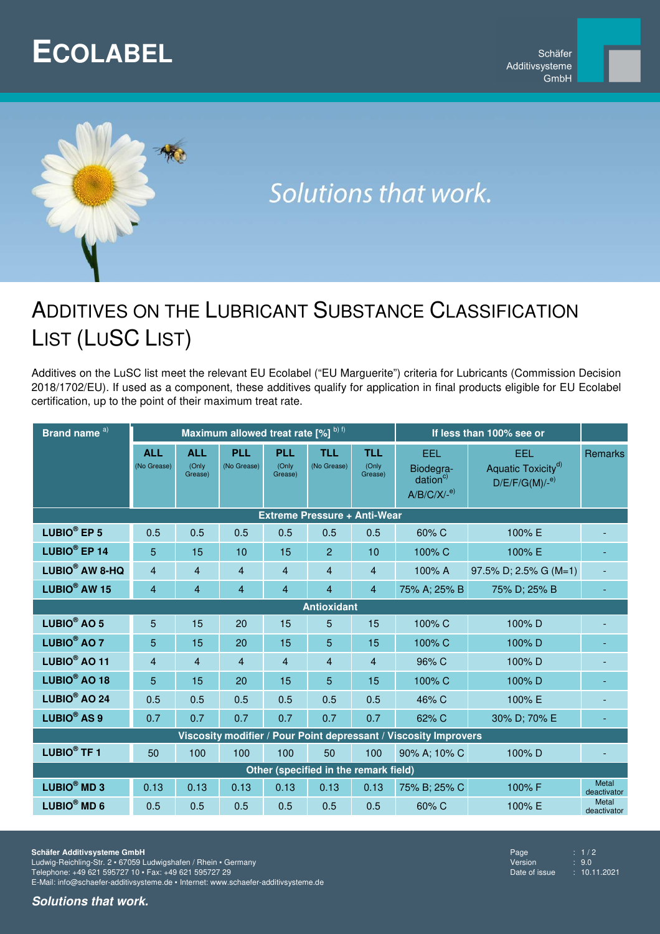## **ECOLABEL**



# Solutions that work.

### ADDITIVES ON THE LUBRICANT SUBSTANCE CLASSIFICATION LIST (LUSC LIST)

Additives on the LuSC list meet the relevant EU Ecolabel ("EU Marguerite") criteria for Lubricants (Commission Decision 2018/1702/EU). If used as a component, these additives qualify for application in final products eligible for EU Ecolabel certification, up to the point of their maximum treat rate.

| Brand name <sup>a)</sup>                                         |                           |                                | Maximum allowed treat rate [%] b) f) |                                |                           | If less than 100% see or       |                                                           |                                                              |                             |  |  |  |
|------------------------------------------------------------------|---------------------------|--------------------------------|--------------------------------------|--------------------------------|---------------------------|--------------------------------|-----------------------------------------------------------|--------------------------------------------------------------|-----------------------------|--|--|--|
|                                                                  | <b>ALL</b><br>(No Grease) | <b>ALL</b><br>(Only<br>Grease) | <b>PLL</b><br>(No Grease)            | <b>PLL</b><br>(Only<br>Grease) | <b>TLL</b><br>(No Grease) | <b>TLL</b><br>(Only<br>Grease) | EEL<br>Biodegra-<br>dation <sup>c)</sup><br>$A/B/C/X/-e)$ | EEL<br>Aquatic Toxicity <sup>d)</sup><br>$D/E/F/G(M)/-e^{e}$ | <b>Remarks</b>              |  |  |  |
| <b>Extreme Pressure + Anti-Wear</b>                              |                           |                                |                                      |                                |                           |                                |                                                           |                                                              |                             |  |  |  |
| LUBIO <sup>®</sup> EP 5                                          | 0.5                       | 0.5                            | 0.5                                  | 0.5                            | 0.5                       | 0.5                            | 60% C                                                     | 100% E                                                       |                             |  |  |  |
| LUBIO <sup>®</sup> EP 14                                         | 5                         | 15                             | 10                                   | 15                             | $\overline{2}$            | 10                             | 100% C                                                    | 100% E                                                       |                             |  |  |  |
| LUBIO <sup>®</sup> AW 8-HQ                                       | $\overline{4}$            | $\overline{4}$                 | 4                                    | $\overline{4}$                 | $\overline{4}$            | $\overline{4}$                 | 100% A                                                    | 97.5% D; 2.5% G (M=1)                                        |                             |  |  |  |
| LUBIO <sup>®</sup> AW 15                                         | 4                         | $\overline{4}$                 | 4                                    | $\overline{4}$                 | $\overline{4}$            | $\overline{4}$                 | 75% A; 25% B                                              | 75% D; 25% B                                                 |                             |  |  |  |
| <b>Antioxidant</b>                                               |                           |                                |                                      |                                |                           |                                |                                                           |                                                              |                             |  |  |  |
| LUBIO <sup>®</sup> AO 5                                          | 5                         | 15                             | 20                                   | 15                             | 5                         | 15                             | 100% C                                                    | 100%D                                                        |                             |  |  |  |
| LUBIO <sup>®</sup> AO 7                                          | 5                         | 15                             | 20                                   | 15                             | 5                         | 15                             | 100% C                                                    | 100%D                                                        |                             |  |  |  |
| LUBIO <sup>®</sup> AO 11                                         | $\overline{4}$            | $\overline{4}$                 | 4                                    | $\overline{4}$                 | 4                         | $\overline{4}$                 | 96% C                                                     | 100%D                                                        |                             |  |  |  |
| LUBIO <sup>®</sup> AO 18                                         | 5                         | 15                             | 20                                   | 15                             | 5                         | 15                             | 100% C                                                    | 100%D                                                        |                             |  |  |  |
| LUBIO <sup>®</sup> AO 24                                         | 0.5                       | 0.5                            | 0.5                                  | 0.5                            | 0.5                       | 0.5                            | 46% C                                                     | 100% E                                                       |                             |  |  |  |
| LUBIO <sup>®</sup> AS 9                                          | 0.7                       | 0.7                            | 0.7                                  | 0.7                            | 0.7                       | 0.7                            | 62% C                                                     | 30% D; 70% E                                                 |                             |  |  |  |
| Viscosity modifier / Pour Point depressant / Viscosity Improvers |                           |                                |                                      |                                |                           |                                |                                                           |                                                              |                             |  |  |  |
| LUBIO <sup>®</sup> TF 1                                          | 50                        | 100                            | 100                                  | 100                            | 50                        | 100                            | 90% A; 10% C                                              | 100%D                                                        |                             |  |  |  |
| Other (specified in the remark field)                            |                           |                                |                                      |                                |                           |                                |                                                           |                                                              |                             |  |  |  |
| LUBIO <sup>®</sup> MD 3                                          | 0.13                      | 0.13                           | 0.13                                 | 0.13                           | 0.13                      | 0.13                           | 75% B; 25% C                                              | 100% F                                                       | <b>Metal</b><br>deactivator |  |  |  |
| $LUBIO^@MD 6$                                                    | 0.5                       | 0.5                            | 0.5                                  | 0.5                            | 0.5                       | 0.5                            | 60% C                                                     | 100% E                                                       | Metal<br>deactivator        |  |  |  |

Page  $\overline{\qquad \qquad : 1/2}$ <br>Version  $\qquad \qquad : 9.0$ Version<br>Date of issue  $\overline{10.11.2021}$